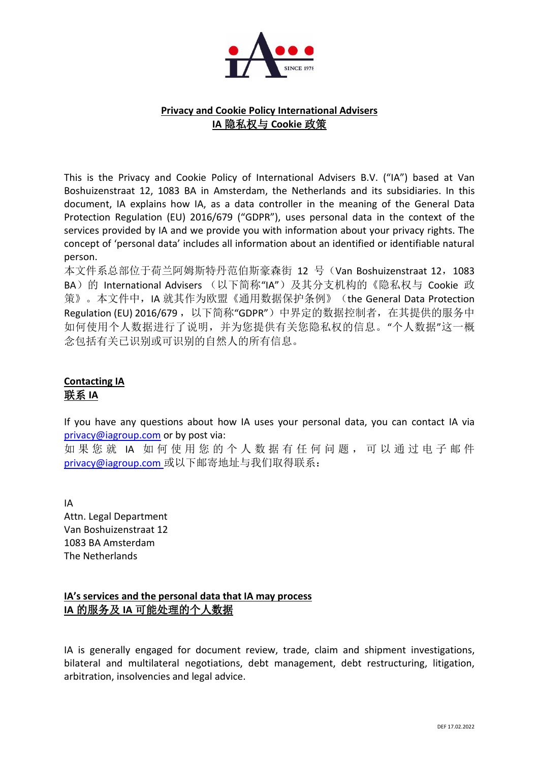

### **Privacy and Cookie Policy International Advisers IA** 隐私权与 **Cookie** 政策

This is the Privacy and Cookie Policy of International Advisers B.V. ("IA") based at Van Boshuizenstraat 12, 1083 BA in Amsterdam, the Netherlands and its subsidiaries. In this document, IA explains how IA, as a data controller in the meaning of the General Data Protection Regulation (EU) 2016/679 ("GDPR"), uses personal data in the context of the services provided by IA and we provide you with information about your privacy rights. The concept of 'personal data' includes all information about an identified or identifiable natural person.

本文件系总部位于荷兰阿姆斯特丹范伯斯豪森街 12 号 (Van Boshuizenstraat 12, 1083 BA)的 International Advisers (以下简称"IA")及其分支机构的《隐私权与 Cookie 政 策》。本文件中,IA 就其作为欧盟《通用数据保护条例》(the General Data Protection Regulation (EU) 2016/679, 以下简称"GDPR")中界定的数据控制者, 在其提供的服务中 如何使用个人数据进行了说明,并为您提供有关您隐私权的信息。"个人数据"这一概 念包括有关已识别或可识别的自然人的所有信息。

## **Contacting IA** 联系 **IA**

If you have any questions about how IA uses your personal data, you can contact IA via [privacy@iagroup.com](mailto:privacy@iagroup.com) or by post via:

如果您就 IA 如何使用您的个人数据有任何问题,可以通过电子邮件 [privacy@iagroup.com](mailto:privacy@iagroup.com) 或以下邮寄地址与我们取得联系:

IA Attn. Legal Department Van Boshuizenstraat 12 1083 BA Amsterdam The Netherlands

### **IA's services and the personal data that IA may process IA** 的服务及 **IA** 可能处理的个人数据

IA is generally engaged for document review, trade, claim and shipment investigations, bilateral and multilateral negotiations, debt management, debt restructuring, litigation, arbitration, insolvencies and legal advice.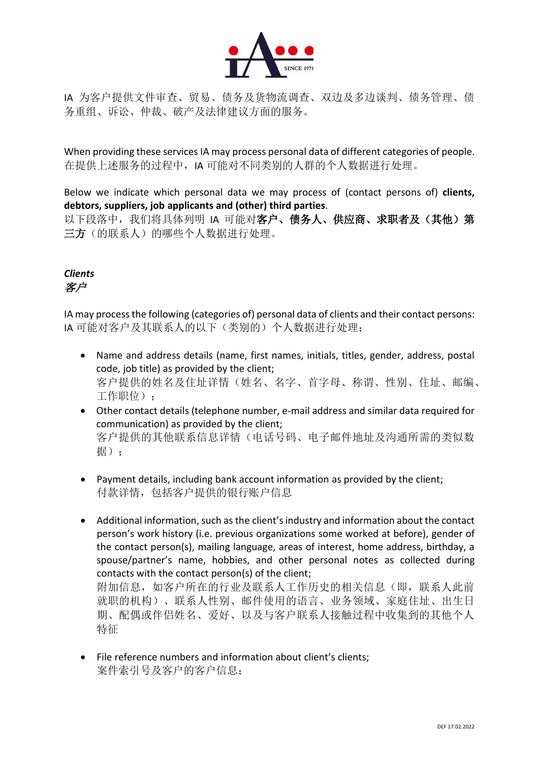

IA 为客户提供文件审查、贸易、债务及货物流调查、双边及多边谈判、债务管理、债 务重组、诉讼、仲裁、破产及法律建议方面的服务。

When providing these services IA may process personal data of different categories of people. 在提供上述服务的过程中,IA 可能对不同类别的人群的个人数据进行处理。

Below we indicate which personal data we may process of (contact persons of) **clients, debtors, suppliers, job applicants and (other) third parties**.

以下段落中, 我们将具体列明 IA 可能对客户、债务人、供应商、求职者及(其他) 第 三方(的联系人)的哪些个人数据进行处理。

*Clients* 客户

IA may processthe following (categories of) personal data of clients and their contact persons: IA 可能对客户及其联系人的以下(类别的)个人数据进行处理:

- Name and address details (name, first names, initials, titles, gender, address, postal code, job title) as provided by the client; 客户提供的姓名及住址详情(姓名、名字、首字母、称谓、性别、住址、邮编、 工作职位);
- Other contact details (telephone number, e-mail address and similar data required for communication) as provided by the client; 客户提供的其他联系信息详情(电话号码、电子邮件地址及沟通所需的类似数 据);
- Payment details, including bank account information as provided by the client; 付款详情,包括客户提供的银行账户信息
- Additional information, such as the client's industry and information about the contact person's work history (i.e. previous organizations some worked at before), gender of the contact person(s), mailing language, areas of interest, home address, birthday, a spouse/partner's name, hobbies, and other personal notes as collected during contacts with the contact person(s) of the client; 附加信息,如容户所在的行业及联系人工作历史的相关信息(即,联系人此前

就职的机构)、联系人性别、邮件使用的语言、业务领域、家庭住址、出生日 期、配偶或伴侣姓名、爱好、以及与客户联系人接触过程中收集到的其他个人 特征

• File reference numbers and information about client's clients; 案件索引号及客户的客户信息;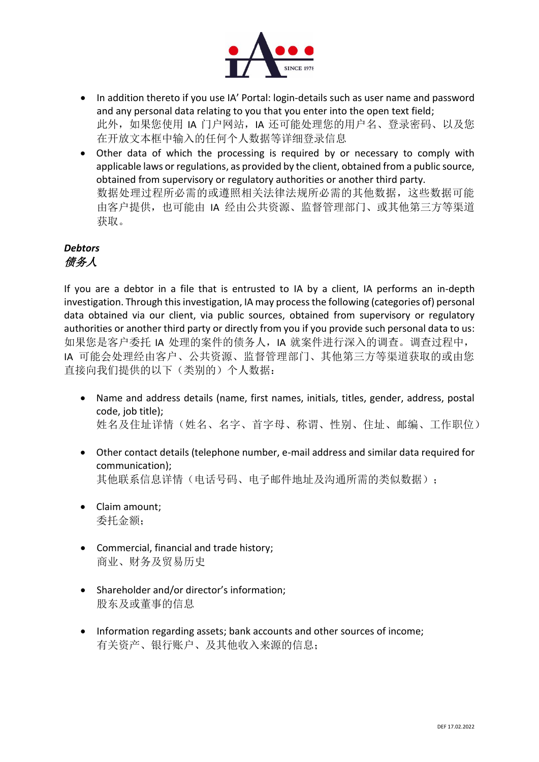

- In addition thereto if you use IA' Portal: login-details such as user name and password and any personal data relating to you that you enter into the open text field; 此外, 如果您使用 IA 门户网站, IA 还可能处理您的用户名、登录密码、以及您 在开放文本框中输入的任何个人数据等详细登录信息
- Other data of which the processing is required by or necessary to comply with applicable laws or regulations, as provided by the client, obtained from a public source, obtained from supervisory or regulatory authorities or another third party. 数据处理过程所必需的或遵照相关法律法规所必需的其他数据,这些数据可能 由客户提供,也可能由 IA 经由公共资源、监督管理部门、或其他第三方等渠道 获取。

### *Debtors* 债务人

If you are a debtor in a file that is entrusted to IA by a client, IA performs an in-depth investigation. Through this investigation, IA may process the following (categories of) personal data obtained via our client, via public sources, obtained from supervisory or regulatory authorities or another third party or directly from you if you provide such personal data to us: 如果您是客户委托 IA 处理的案件的债务人,IA 就案件进行深入的调查。调查过程中, IA 可能会处理经由客户、公共资源、监督管理部门、其他第三方等渠道获取的或由您 直接向我们提供的以下(类别的)个人数据:

- Name and address details (name, first names, initials, titles, gender, address, postal code, job title); 姓名及住址详情(姓名、名字、首字母、称谓、性别、住址、邮编、工作职位)
- Other contact details (telephone number, e-mail address and similar data required for communication); 其他联系信息详情(电话号码、电子邮件地址及沟通所需的类似数据);
- Claim amount; 委托金额;
- Commercial, financial and trade history; 商业、财务及贸易历史
- Shareholder and/or director's information; 股东及或董事的信息
- Information regarding assets; bank accounts and other sources of income; 有关资产、银行账户、及其他收入来源的信息;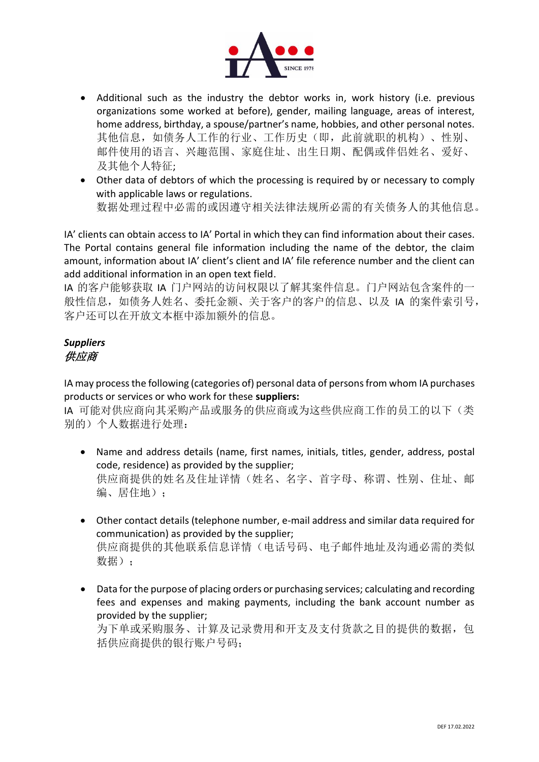

- Additional such as the industry the debtor works in, work history (i.e. previous organizations some worked at before), gender, mailing language, areas of interest, home address, birthday, a spouse/partner's name, hobbies, and other personal notes. 其他信息,如债务人工作的行业、工作历史(即,此前就职的机构)、性别、 邮件使用的语言、兴趣范围、家庭住址、出生日期、配偶或伴侣姓名、爱好、 及其他个人特征;
- Other data of debtors of which the processing is required by or necessary to comply with applicable laws or regulations. 数据处理过程中必需的或因遵守相关法律法规所必需的有关债务人的其他信息。

IA' clients can obtain access to IA' Portal in which they can find information about their cases. The Portal contains general file information including the name of the debtor, the claim amount, information about IA' client's client and IA' file reference number and the client can add additional information in an open text field.

IA 的客户能够获取 IA 门户网站的访问权限以了解其案件信息。门户网站包含案件的一 般性信息,如债务人姓名、委托金额、关于客户的客户的信息、以及 IA 的案件索引号, 客户还可以在开放文本框中添加额外的信息。

# *Suppliers* 供应商

IA may process the following (categories of) personal data of persons from whom IA purchases products or services or who work for these **suppliers:**

IA 可能对供应商向其采购产品或服务的供应商或为这些供应商工作的员工的以下(类 别的)个人数据进行处理:

- Name and address details (name, first names, initials, titles, gender, address, postal code, residence) as provided by the supplier; 供应商提供的姓名及住址详情(姓名、名字、首字母、称谓、性别、住址、邮 编、居住地):
- Other contact details (telephone number, e-mail address and similar data required for communication) as provided by the supplier; 供应商提供的其他联系信息详情(电话号码、电子邮件地址及沟通必需的类似 数据);
- Data for the purpose of placing orders or purchasing services; calculating and recording fees and expenses and making payments, including the bank account number as provided by the supplier;

为下单或采购服务、计算及记录费用和开支及支付货款之目的提供的数据,包 括供应商提供的银行账户号码;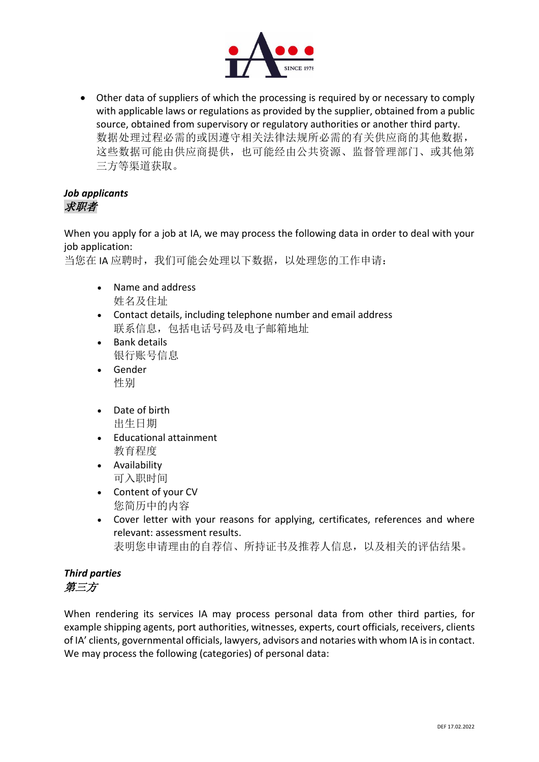

• Other data of suppliers of which the processing is required by or necessary to comply with applicable laws or regulations as provided by the supplier, obtained from a public source, obtained from supervisory or regulatory authorities or another third party. 数据处理过程必需的或因遵守相关法律法规所必需的有关供应商的其他数据, 这些数据可能由供应商提供,也可能经由公共资源、监督管理部门、或其他第 三方等渠道获取。

#### *Job applicants* 求职者

When you apply for a job at IA, we may process the following data in order to deal with your job application:

当您在 IA 应聘时, 我们可能会处理以下数据, 以处理您的工作申请:

- Name and address 姓名及住址
- Contact details, including telephone number and email address 联系信息,包括电话号码及电子邮箱地址
- Bank details 银行账号信息
- Gender 性别
- Date of birth 出生日期
- Educational attainment 教育程度
- Availability 可入职时间
- Content of your CV 您简历中的内容
- Cover letter with your reasons for applying, certificates, references and where relevant: assessment results.

```
表明您申请理由的自荐信、所持证书及推荐人信息,以及相关的评估结果。
```
### *Third parties* 第三方

When rendering its services IA may process personal data from other third parties, for example shipping agents, port authorities, witnesses, experts, court officials, receivers, clients of IA' clients, governmental officials, lawyers, advisors and notaries with whom IA is in contact. We may process the following (categories) of personal data: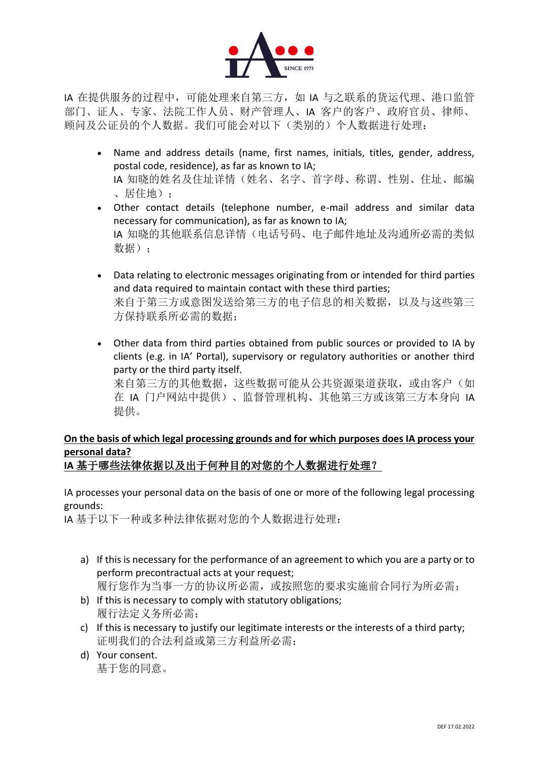

IA 在提供服务的过程中,可能处理来自第三方,如 IA 与之联系的货运代理、港口监管 部门、证人、专家、法院工作人员、财产管理人、IA 客户的客户、政府官员、律师、 顾问及公证员的个人数据。我们可能会对以下(类别的)个人数据进行处理:

- Name and address details (name, first names, initials, titles, gender, address, postal code, residence), as far as known to IA; IA 知晓的姓名及住址详情(姓名、名字、首字母、称谓、性别、住址、邮编 、居住地);
- Other contact details (telephone number, e-mail address and similar data necessary for communication), as far as known to IA; IA 知晓的其他联系信息详情(电话号码、电子邮件地址及沟通所必需的类似 数据);
- Data relating to electronic messages originating from or intended for third parties and data required to maintain contact with these third parties; 来自于第三方或意图发送给第三方的电子信息的相关数据,以及与这些第三 方保持联系所必需的数据;
- Other data from third parties obtained from public sources or provided to IA by clients (e.g. in IA' Portal), supervisory or regulatory authorities or another third party or the third party itself.

来自第三方的其他数据,这些数据可能从公共资源渠道获取,或由客户(如 在 IA 门户网站中提供)、监督管理机构、其他第三方或该第三方本身向 IA 提供。

# **On the basis of which legal processing grounds and for which purposes does IA process your personal data?**

**IA** 基于哪些法律依据以及出于何种目的对您的个人数据进行处理?

IA processes your personal data on the basis of one or more of the following legal processing grounds:

IA 基于以下一种或多种法律依据对您的个人数据进行处理:

- a) If this is necessary for the performance of an agreement to which you are a party or to perform precontractual acts at your request; 履行您作为当事一方的协议所必需,或按照您的要求实施前合同行为所必需;
- b) If this is necessary to comply with statutory obligations; 履行法定义务所必需;
- c) If this is necessary to justify our legitimate interests or the interests of a third party; 证明我们的合法利益或第三方利益所必需;
- d) Your consent. 基于您的同意。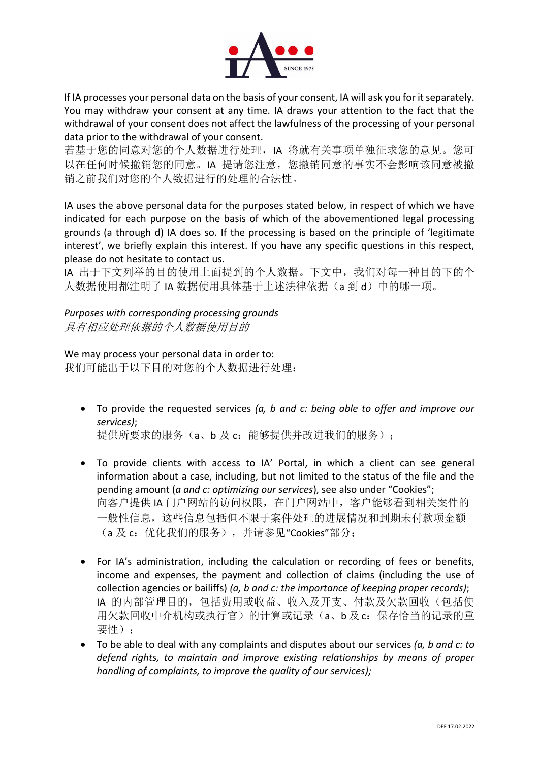

If IA processes your personal data on the basis of your consent, IA will ask you for it separately. You may withdraw your consent at any time. IA draws your attention to the fact that the withdrawal of your consent does not affect the lawfulness of the processing of your personal data prior to the withdrawal of your consent.

若基于您的同意对您的个人数据进行处理,IA 将就有关事项单独征求您的意见。您可 以在任何时候撤销您的同意。IA 提请您注意,您撤销同意的事实不会影响该同意被撤 销之前我们对您的个人数据进行的处理的合法性。

IA uses the above personal data for the purposes stated below, in respect of which we have indicated for each purpose on the basis of which of the abovementioned legal processing grounds (a through d) IA does so. If the processing is based on the principle of 'legitimate interest', we briefly explain this interest. If you have any specific questions in this respect, please do not hesitate to contact us.

IA 出于下文列举的目的使用上面提到的个人数据。下文中,我们对每一种目的下的个 人数据使用都注明了 IA 数据使用具体基于上述法律依据(a 到 d)中的哪一项。

*Purposes with corresponding processing grounds* 具有相应处理依据的个人数据使用目的

#### We may process your personal data in order to:

我们可能出于以下目的对您的个人数据进行处理:

- To provide the requested services *(a, b and c: being able to offer and improve our services)*; 提供所要求的服务(a、b及 c:能够提供并改进我们的服务);
- To provide clients with access to IA' Portal, in which a client can see general information about a case, including, but not limited to the status of the file and the pending amount (*a and c: optimizing our services*), see also under "Cookies"; 向客户提供 IA 门户网站的访问权限, 在门户网站中, 客户能够看到相关案件的 一般性信息,这些信息包括但不限于案件处理的进展情况和到期未付款项金额 (a 及 c:优化我们的服务),并请参见"Cookies"部分;
- For IA's administration, including the calculation or recording of fees or benefits, income and expenses, the payment and collection of claims (including the use of collection agencies or bailiffs) *(a, b and c: the importance of keeping proper records)*; IA 的内部管理目的,包括费用或收益、收入及开支、付款及欠款回收(包括使 用欠款回收中介机构或执行官)的计算或记录(a、b 及 c:保存恰当的记录的重 要性):
- To be able to deal with any complaints and disputes about our services *(a, b and c: to defend rights, to maintain and improve existing relationships by means of proper handling of complaints, to improve the quality of our services);*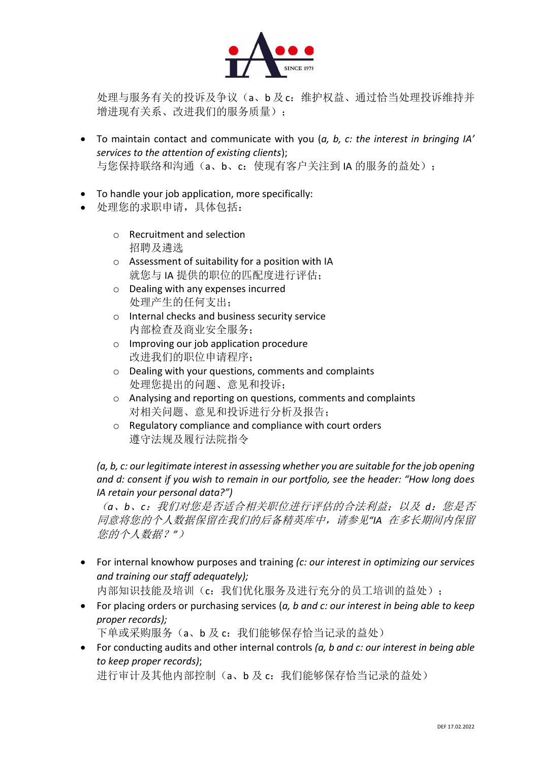

处理与服务有关的投诉及争议(a、b 及 c:维护权益、通过恰当处理投诉维持并 增进现有关系、改进我们的服务质量):

- To maintain contact and communicate with you (*a, b, c: the interest in bringing IA' services to the attention of existing clients*); 与您保持联络和沟通(a、b、c:使现有客户关注到 IA 的服务的益处);
- To handle your job application, more specifically:
- 处理您的求职申请,具体包括:
	- o Recruitment and selection 招聘及遴选
	- o Assessment of suitability for a position with IA 就您与 IA 提供的职位的匹配度进行评估;
	- o Dealing with any expenses incurred 处理产生的任何支出;
	- o Internal checks and business security service 内部检查及商业安全服务;
	- o Improving our job application procedure 改进我们的职位申请程序;
	- o Dealing with your questions, comments and complaints 处理您提出的问题、意见和投诉;
	- o Analysing and reporting on questions, comments and complaints 对相关问题、意见和投诉进行分析及报告;
	- o Regulatory compliance and compliance with court orders 遵守法规及履行法院指令

*(a, b, c: our legitimate interest in assessing whether you are suitable for the job opening and d: consent if you wish to remain in our portfolio, see the header: "How long does IA retain your personal data?")*

(*a*、*b*、*c*:我们对您是否适合相关职位进行评估的合法利益;以及 *d*:您是否 同意将您的个人数据保留在我们的后备精英库中,请参见*"IA* 在多长期间内保留 您的个人数据?*"*)

• For internal knowhow purposes and training *(c: our interest in optimizing our services and training our staff adequately);*

内部知识技能及培训(c: 我们优化服务及进行充分的员工培训的益处);

• For placing orders or purchasing services (*a, b and c: our interest in being able to keep proper records);*

下单或采购服务(a、b 及 c: 我们能够保存恰当记录的益处)

• For conducting audits and other internal controls *(a, b and c: our interest in being able to keep proper records)*;

进行审计及其他内部控制(a、b及 c: 我们能够保存恰当记录的益处)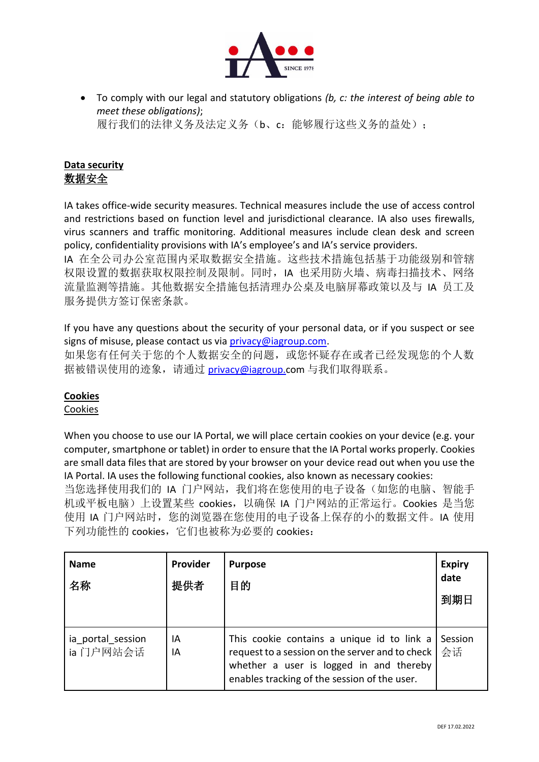

• To comply with our legal and statutory obligations *(b, c: the interest of being able to meet these obligations)*;

履行我们的法律义务及法定义务(b、c:能够履行这些义务的益处);

## **Data security** 数据安全

IA takes office-wide security measures. Technical measures include the use of access control and restrictions based on function level and jurisdictional clearance. IA also uses firewalls, virus scanners and traffic monitoring. Additional measures include clean desk and screen policy, confidentiality provisions with IA's employee's and IA's service providers.

IA 在全公司办公室范围内采取数据安全措施。这些技术措施包括基于功能级别和管辖 权限设置的数据获取权限控制及限制。同时,IA 也采用防火墙、病毒扫描技术、网络 流量监测等措施。其他数据安全措施包括清理办公桌及电脑屏幕政策以及与 IA 员工及 服务提供方签订保密条款。

If you have any questions about the security of your personal data, or if you suspect or see signs of misuse, please contact us via [privacy@iagroup.com.](mailto:privacy@iagroup.com)

如果您有任何关于您的个人数据安全的问题,或您怀疑存在或者已经发现您的个人数 据被错误使用的迹象, 请通过 [privacy@iagroup.c](mailto:privacy@iagroup.)om 与我们取得联系。

# **Cookies**

#### Cookies

When you choose to use our IA Portal, we will place certain cookies on your device (e.g. your computer, smartphone or tablet) in order to ensure that the IA Portal works properly. Cookies are small data files that are stored by your browser on your device read out when you use the IA Portal. IA uses the following functional cookies, also known as necessary cookies:

当您选择使用我们的 IA 门户网站,我们将在您使用的电子设备(如您的电脑、智能手 机或平板电脑)上设置某些 cookies,以确保 IA 门户网站的正常运行。Cookies 是当您 使用 IA 门户网站时, 您的浏览器在您使用的电子设备上保存的小的数据文件。IA 使用 下列功能性的 cookies, 它们也被称为必要的 cookies:

| <b>Name</b><br>名称              | Provider<br>提供者 | <b>Purpose</b><br>目的                                                                                                                                                                     | <b>Expiry</b><br>date<br>到期日 |
|--------------------------------|-----------------|------------------------------------------------------------------------------------------------------------------------------------------------------------------------------------------|------------------------------|
| ia portal session<br>ia 门户网站会话 | IA<br>IA        | This cookie contains a unique id to link a<br>request to a session on the server and to check<br>whether a user is logged in and thereby<br>enables tracking of the session of the user. | Session<br>会话                |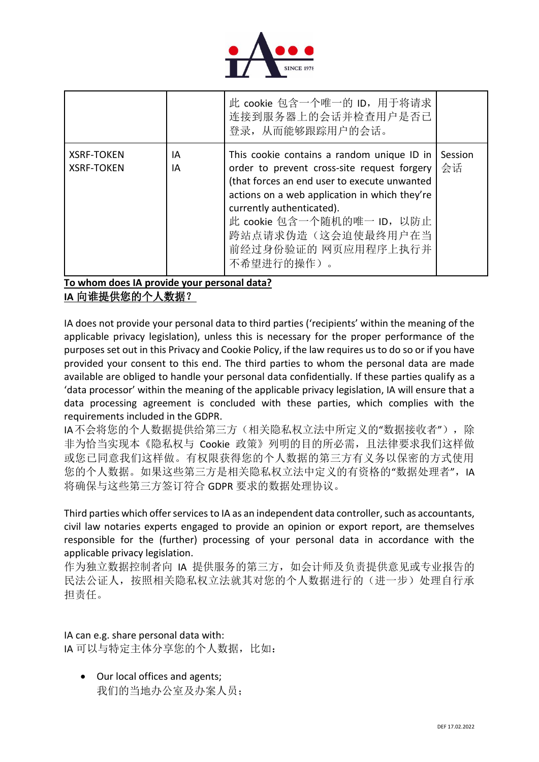

|                                        |          | 此 cookie 包含一个唯一的 ID, 用于将请求<br>连接到服务器上的会话并检查用户是否已<br>登录, 从而能够跟踪用户的会话。                                                                                                                                                                                                                                             |               |
|----------------------------------------|----------|------------------------------------------------------------------------------------------------------------------------------------------------------------------------------------------------------------------------------------------------------------------------------------------------------------------|---------------|
| <b>XSRF-TOKEN</b><br><b>XSRF-TOKEN</b> | IA<br>IA | This cookie contains a random unique ID in<br>order to prevent cross-site request forgery<br>(that forces an end user to execute unwanted<br>actions on a web application in which they're<br>currently authenticated).<br>此 cookie 包含一个随机的唯一 ID, 以防止<br>跨站点请求伪造(这会迫使最终用户在当<br>前经过身份验证的 网页应用程序上执行并<br>不希望进行的操作)。 | Session<br>会话 |

**To whom does IA provide your personal data? IA** 向谁提供您的个人数据?

IA does not provide your personal data to third parties ('recipients' within the meaning of the applicable privacy legislation), unless this is necessary for the proper performance of the purposes set out in this Privacy and Cookie Policy, if the law requires us to do so or if you have provided your consent to this end. The third parties to whom the personal data are made available are obliged to handle your personal data confidentially. If these parties qualify as a 'data processor' within the meaning of the applicable privacy legislation, IA will ensure that a data processing agreement is concluded with these parties, which complies with the requirements included in the GDPR.

IA不会将您的个人数据提供给第三方(相关隐私权立法中所定义的"数据接收者"),除 非为恰当实现本《隐私权与 Cookie 政策》列明的目的所必需,且法律要求我们这样做 或您已同意我们这样做。有权限获得您的个人数据的第三方有义务以保密的方式使用 您的个人数据。如果这些第三方是相关隐私权立法中定义的有资格的"数据处理者",IA 将确保与这些第三方签订符合 GDPR 要求的数据处理协议。

Third parties which offer services to IA as an independent data controller, such as accountants, civil law notaries experts engaged to provide an opinion or export report, are themselves responsible for the (further) processing of your personal data in accordance with the applicable privacy legislation.

作为独立数据控制者向 IA 提供服务的第三方, 如会计师及负责提供意见或专业报告的 民法公证人,按照相关隐私权立法就其对您的个人数据进行的(进一步)处理自行承 担责任。

## IA can e.g. share personal data with:

IA 可以与特定主体分享您的个人数据,比如:

• Our local offices and agents; 我们的当地办公室及办案人员;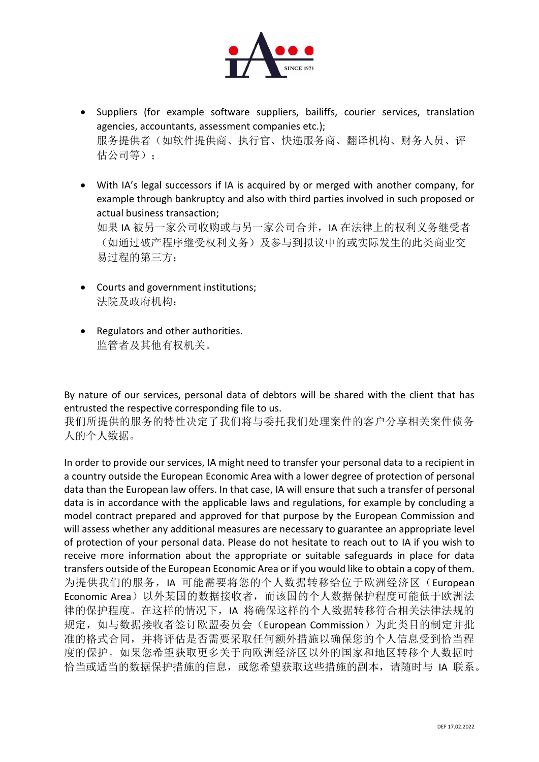

- Suppliers (for example software suppliers, bailiffs, courier services, translation agencies, accountants, assessment companies etc.); 服务提供者(如软件提供商、执行官、快递服务商、翻译机构、财务人员、评 估公司等);
- With IA's legal successors if IA is acquired by or merged with another company, for example through bankruptcy and also with third parties involved in such proposed or actual business transaction;

如果 IA 被另一家公司收购或与另一家公司合并,IA 在法律上的权利义务继受者 (如通过破产程序继受权利义务)及参与到拟议中的或实际发生的此类商业交 易过程的第三方;

- Courts and government institutions; 法院及政府机构;
- Regulators and other authorities. 监管者及其他有权机关。

By nature of our services, personal data of debtors will be shared with the client that has entrusted the respective corresponding file to us.

我们所提供的服务的特性决定了我们将与委托我们处理案件的客户分享相关案件债务 人的个人数据。

In order to provide our services, IA might need to transfer your personal data to a recipient in a country outside the European Economic Area with a lower degree of protection of personal data than the European law offers. In that case, IA will ensure that such a transfer of personal data is in accordance with the applicable laws and regulations, for example by concluding a model contract prepared and approved for that purpose by the European Commission and will assess whether any additional measures are necessary to guarantee an appropriate level of protection of your personal data. Please do not hesitate to reach out to IA if you wish to receive more information about the appropriate or suitable safeguards in place for data transfers outside of the European Economic Area or if you would like to obtain a copy of them. 为提供我们的服务, IA 可能需要将您的个人数据转移给位于欧洲经济区(European Economic Area)以外某国的数据接收者,而该国的个人数据保护程度可能低于欧洲法 律的保护程度。在这样的情况下,IA 将确保这样的个人数据转移符合相关法律法规的 规定,如与数据接收者签订欧盟委员会(European Commission)为此类目的制定并批 准的格式合同,并将评估是否需要采取任何额外措施以确保您的个人信息受到恰当程 度的保护。如果您希望获取更多关于向欧洲经济区以外的国家和地区转移个人数据时 恰当或适当的数据保护措施的信息,或您希望获取这些措施的副本,请随时与 IA 联系。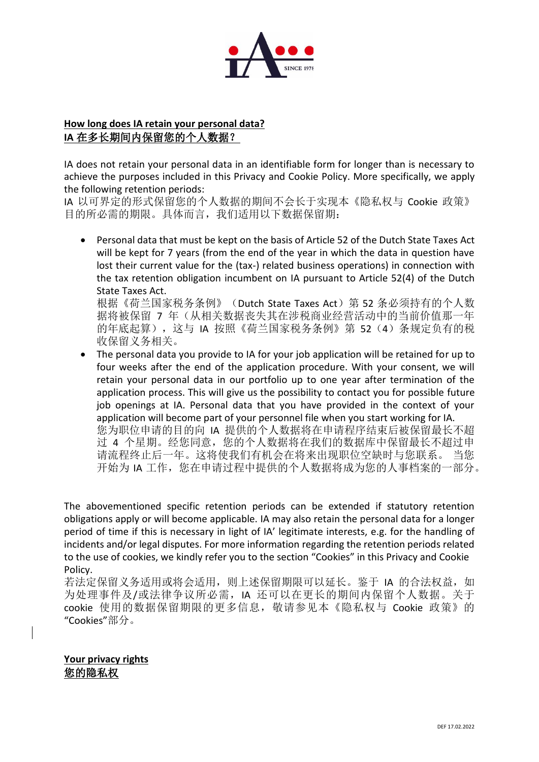

### **How long does IA retain your personal data? IA** 在多长期间内保留您的个人数据?

IA does not retain your personal data in an identifiable form for longer than is necessary to achieve the purposes included in this Privacy and Cookie Policy. More specifically, we apply the following retention periods:

IA 以可界定的形式保留您的个人数据的期间不会长于实现本《隐私权与 Cookie 政策》 目的所必需的期限。具体而言,我们适用以下数据保留期:

• Personal data that must be kept on the basis of Article 52 of [the Dutch State Taxes Act](https://wetten.overheid.nl/BWBR0002320/2020-01-01) will be kept for 7 years (from the end of the year in which the data in question have lost their current value for the (tax-) related business operations) in connection with the tax retention obligation incumbent on IA pursuant to Article 52(4) of the Dutch State Taxes Act.

根据《荷兰国家税务条例》(Dutch State Taxes Act)第 52 条必须持有的个人数 据将被保留 7 年(从相关数据丧失其在涉税商业经营活动中的当前价值那一年 的年底起算),这与 IA 按照《荷兰国家税务条例》第 52(4)条规定负有的税 收保留义务相关。

• The personal data you provide to IA for your job application will be retained for up to four weeks after the end of the application procedure. With your consent, we will retain your personal data in our portfolio up to one year after termination of the application process. This will give us the possibility to contact you for possible future job openings at IA. Personal data that you have provided in the context of your application will become part of your personnel file when you start working for IA. 您为职位申请的目的向 IA 提供的个人数据将在申请程序结束后被保留最长不超 过 4 个星期。经您同意,您的个人数据将在我们的数据库中保留最长不超过申 请流程终止后一年。这将使我们有机会在将来出现职位空缺时与您联系。 当您 开始为 IA 工作,您在申请过程中提供的个人数据将成为您的人事档案的一部分。

The abovementioned specific retention periods can be extended if statutory retention obligations apply or will become applicable. IA may also retain the personal data for a longer period of time if this is necessary in light of IA' legitimate interests, e.g. for the handling of incidents and/or legal disputes. For more information regarding the retention periods related to the use of cookies, we kindly refer you to the section "Cookies" in this Privacy and Cookie Policy.

若法定保留义务适用或将会适用, 则上述保留期限可以延长。鉴于 IA 的合法权益, 如 为处理事件及/或法律争议所必需,IA 还可以在更长的期间内保留个人数据。关于 cookie 使用的数据保留期限的更多信息,敬请参见本《隐私权与 Cookie 政策》的 "Cookies"部分。

**Your privacy rights**  您的隐私权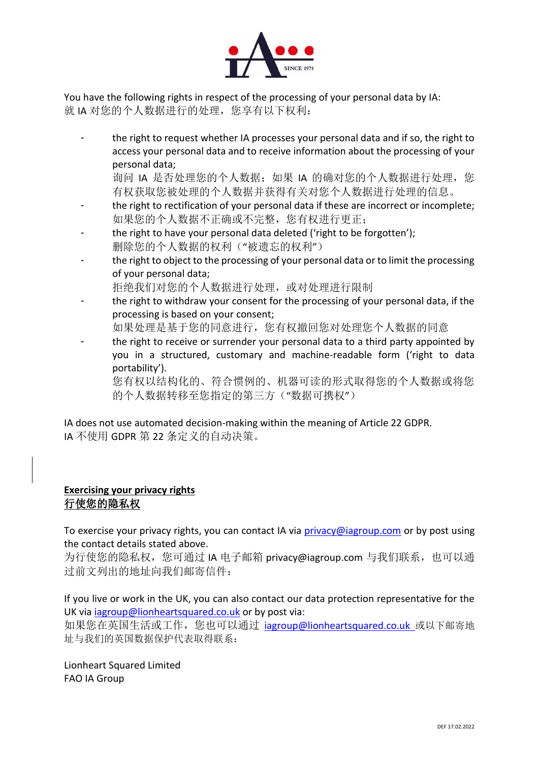

You have the following rights in respect of the processing of your personal data by IA: 就 IA 对您的个人数据进行的处理, 您享有以下权利:

the right to request whether IA processes your personal data and if so, the right to access your personal data and to receive information about the processing of your personal data;

询问 IA 是否处理您的个人数据;如果 IA 的确对您的个人数据进行处理, 您 有权获取您被处理的个人数据并获得有关对您个人数据进行处理的信息。

- the right to rectification of your personal data if these are incorrect or incomplete; 如果您的个人数据不正确或不完整,您有权进行更正;
- the right to have your personal data deleted ('right to be forgotten'); 删除您的个人数据的权利( "被遗忘的权利")
- the right to object to the processing of your personal data or to limit the processing of your personal data;

拒绝我们对您的个人数据进行处理,或对处理进行限制

the right to withdraw your consent for the processing of your personal data, if the processing is based on your consent;

如果处理是基于您的同意进行,您有权撤回您对处理您个人数据的同意

- the right to receive or surrender your personal data to a third party appointed by you in a structured, customary and machine-readable form ('right to data portability').

您有权以结构化的、符合惯例的、机器可读的形式取得您的个人数据或将您 的个人数据转移至您指定的第三方("数据可携权")

IA does not use automated decision-making within the meaning of Article 22 GDPR. IA 不使用 GDPR 第 22 条定义的自动决策。

## **Exercising your privacy rights** 行使您的隐私权

To exercise your privacy rights, you can contact IA via [privacy@iagroup.com](mailto:privacy@iagroup.com) or by post using the contact details stated above.

为行使您的隐私权, 您可通过 IA 电子邮箱 privacy@iagroup.com 与我们联系, 也可以通 过前文列出的地址向我们邮寄信件:

If you live or work in the UK, you can also contact our data protection representative for the UK via [iagroup@lionheartsquared.co.uk](mailto:IAGroup@LionheartSquared.co.uk) or by post via:

如果您在英国生活或工作, 您也可以通过 [iagroup@lionheartsquared.co.uk](mailto:IAGroup@LionheartSquared.co.uk) 或以下邮寄地 址与我们的英国数据保护代表取得联系:

Lionheart Squared Limited FAO IA Group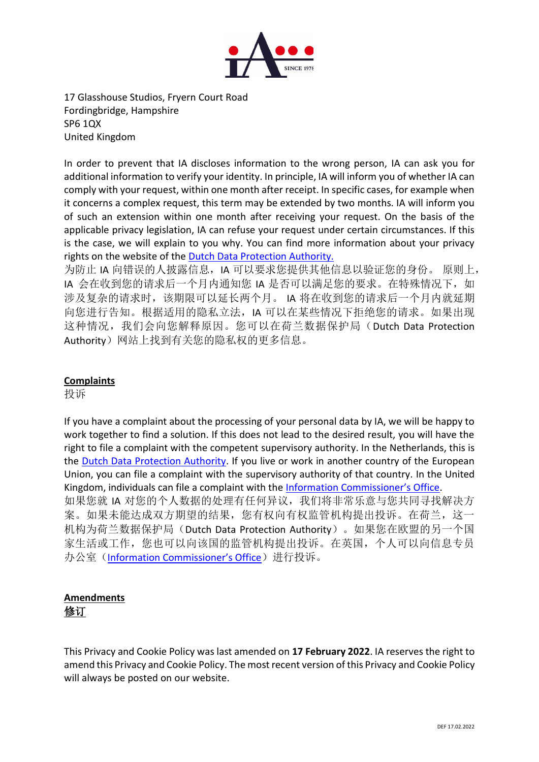

17 Glasshouse Studios, Fryern Court Road Fordingbridge, Hampshire SP6 1QX United Kingdom

In order to prevent that IA discloses information to the wrong person, IA can ask you for additional information to verify your identity. In principle, IA will inform you of whether IA can comply with your request, within one month after receipt. In specific cases, for example when it concerns a complex request, this term may be extended by two months. IA will inform you of such an extension within one month after receiving your request. On the basis of the applicable privacy legislation, IA can refuse your request under certain circumstances. If this is the case, we will explain to you why. You can find more information about your privacy rights on the website of the [Dutch Data Protection Authority.](https://autoriteitpersoonsgegevens.nl/nl/zelf-doen/privacyrechten)

为防止 IA 向错误的人披露信息,IA 可以要求您提供其他信息以验证您的身份。 原则上, IA 会在收到您的请求后一个月内通知您 IA 是否可以满足您的要求。在特殊情况下, 如 涉及复杂的请求时,该期限可以延长两个月。 IA 将在收到您的请求后一个月内就延期 向您进行告知。根据适用的隐私立法,IA 可以在某些情况下拒绝您的请求。如果出现 这种情况,我们会向您解释原因。您可以在荷兰数据保护局(Dutch Data Protection Authority)网站上找到有关您的隐私权的更多信息。

#### **Complaints**

投诉

If you have a complaint about the processing of your personal data by IA, we will be happy to work together to find a solution. If this does not lead to the desired result, you will have the right to file a complaint with the competent supervisory authority. In the Netherlands, this is the [Dutch Data Protection Authority.](https://www.autoriteitpersoonsgegevens.nl/en/contact-dutch-dpa/contact-us) If you live or work in another country of the European Union, you can file a complaint with the supervisory authority of that country. In the United Kingdom, individuals can file a complaint with the [Information Commissioner's Office](https://ico.org.uk/make-a-complaint/). 如果您就 IA 对您的个人数据的处理有任何异议, 我们将非常乐意与您共同寻找解决方 案。如果未能达成双方期望的结果,您有权向有权监管机构提出投诉。在荷兰,这一 机构为荷兰数据保护局 (Dutch Data Protection Authority) 。如果您在欧盟的另一个国

家生活或工作, 您也可以向该国的监管机构提出投诉。在英国, 个人可以向信息专员 办公室([Information Commissioner's Office](https://ico.org.uk/make-a-complaint/))进行投诉。

#### **Amendments** 修订

This Privacy and Cookie Policy was last amended on **17 February 2022**. IA reserves the right to amend this Privacy and Cookie Policy. The most recent version of this Privacy and Cookie Policy will always be posted on our website.